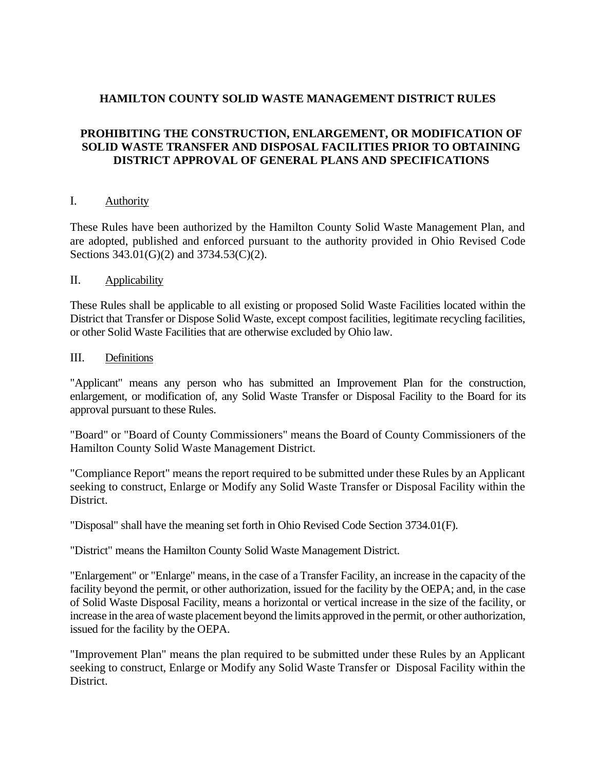## **HAMILTON COUNTY SOLID WASTE MANAGEMENT DISTRICT RULES**

# **PROHIBITING THE CONSTRUCTION, ENLARGEMENT, OR MODIFICATION OF SOLID WASTE TRANSFER AND DISPOSAL FACILITIES PRIOR TO OBTAINING DISTRICT APPROVAL OF GENERAL PLANS AND SPECIFICATIONS**

### I. Authority

These Rules have been authorized by the Hamilton County Solid Waste Management Plan, and are adopted, published and enforced pursuant to the authority provided in Ohio Revised Code Sections 343.01(G)(2) and 3734.53(C)(2).

#### II. Applicability

These Rules shall be applicable to all existing or proposed Solid Waste Facilities located within the District that Transfer or Dispose Solid Waste, except compost facilities, legitimate recycling facilities, or other Solid Waste Facilities that are otherwise excluded by Ohio law.

#### III. Definitions

"Applicant" means any person who has submitted an Improvement Plan for the construction, enlargement, or modification of, any Solid Waste Transfer or Disposal Facility to the Board for its approval pursuant to these Rules.

"Board" or "Board of County Commissioners" means the Board of County Commissioners of the Hamilton County Solid Waste Management District.

"Compliance Report" means the report required to be submitted under these Rules by an Applicant seeking to construct, Enlarge or Modify any Solid Waste Transfer or Disposal Facility within the District.

"Disposal" shall have the meaning set forth in Ohio Revised Code Section 3734.01(F).

"District" means the Hamilton County Solid Waste Management District.

"Enlargement" or "Enlarge" means, in the case of a Transfer Facility, an increase in the capacity of the facility beyond the permit, or other authorization, issued for the facility by the OEPA; and, in the case of Solid Waste Disposal Facility, means a horizontal or vertical increase in the size of the facility, or increase in the area of waste placement beyond the limits approved in the permit, or other authorization, issued for the facility by the OEPA.

"Improvement Plan" means the plan required to be submitted under these Rules by an Applicant seeking to construct, Enlarge or Modify any Solid Waste Transfer or Disposal Facility within the District.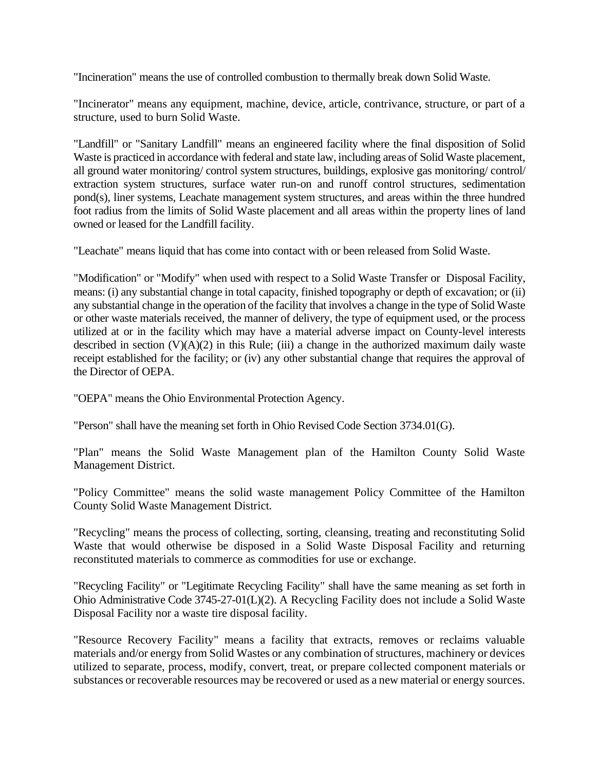"Incineration" means the use of controlled combustion to thermally break down Solid Waste.

"Incinerator" means any equipment, machine, device, article, contrivance, structure, or part of a structure, used to burn Solid Waste.

"Landfill" or "Sanitary Landfill" means an engineered facility where the final disposition of Solid Waste is practiced in accordance with federal and state law, including areas of Solid Waste placement, all ground water monitoring/ control system structures, buildings, explosive gas monitoring/ control/ extraction system structures, surface water run-on and runoff control structures, sedimentation pond(s), liner systems, Leachate management system structures, and areas within the three hundred foot radius from the limits of Solid Waste placement and all areas within the property lines of land owned or leased for the Landfill facility.

"Leachate" means liquid that has come into contact with or been released from Solid Waste.

"Modification" or "Modify" when used with respect to a Solid Waste Transfer or Disposal Facility, means: (i) any substantial change in total capacity, finished topography or depth of excavation; or (ii) any substantial change in the operation of the facility that involves a change in the type of Solid Waste or other waste materials received, the manner of delivery, the type of equipment used, or the process utilized at or in the facility which may have a material adverse impact on County-level interests described in section  $(V)(A)(2)$  in this Rule; (iii) a change in the authorized maximum daily waste receipt established for the facility; or (iv) any other substantial change that requires the approval of the Director of OEPA.

"OEPA" means the Ohio Environmental Protection Agency.

"Person" shall have the meaning set forth in Ohio Revised Code Section 3734.01(G).

"Plan" means the Solid Waste Management plan of the Hamilton County Solid Waste Management District.

"Policy Committee" means the solid waste management Policy Committee of the Hamilton County Solid Waste Management District.

"Recycling" means the process of collecting, sorting, cleansing, treating and reconstituting Solid Waste that would otherwise be disposed in a Solid Waste Disposal Facility and returning reconstituted materials to commerce as commodities for use or exchange.

"Recycling Facility" or "Legitimate Recycling Facility" shall have the same meaning as set forth in Ohio Administrative Code 3745-27-01(L)(2). A Recycling Facility does not include a Solid Waste Disposal Facility nor a waste tire disposal facility.

"Resource Recovery Facility" means a facility that extracts, removes or reclaims valuable materials and/or energy from Solid Wastes or any combination of structures, machinery or devices utilized to separate, process, modify, convert, treat, or prepare collected component materials or substances or recoverable resources may be recovered or used as a new material or energy sources.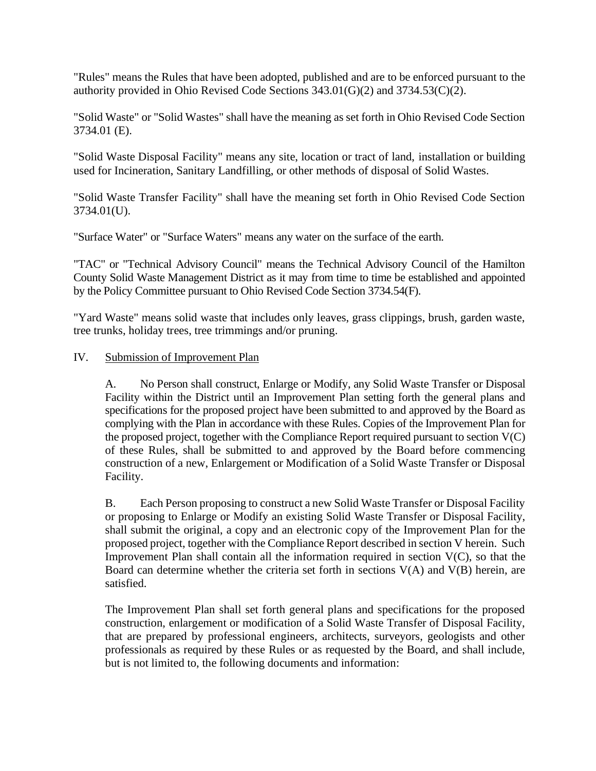"Rules" means the Rules that have been adopted, published and are to be enforced pursuant to the authority provided in Ohio Revised Code Sections 343.01(G)(2) and 3734.53(C)(2).

"Solid Waste" or "Solid Wastes" shall have the meaning as set forth in Ohio Revised Code Section 3734.01 (E).

"Solid Waste Disposal Facility" means any site, location or tract of land, installation or building used for Incineration, Sanitary Landfilling, or other methods of disposal of Solid Wastes.

"Solid Waste Transfer Facility" shall have the meaning set forth in Ohio Revised Code Section 3734.01(U).

"Surface Water" or "Surface Waters" means any water on the surface of the earth.

"TAC" or "Technical Advisory Council" means the Technical Advisory Council of the Hamilton County Solid Waste Management District as it may from time to time be established and appointed by the Policy Committee pursuant to Ohio Revised Code Section 3734.54(F).

"Yard Waste" means solid waste that includes only leaves, grass clippings, brush, garden waste, tree trunks, holiday trees, tree trimmings and/or pruning.

### IV. Submission of Improvement Plan

A. No Person shall construct, Enlarge or Modify, any Solid Waste Transfer or Disposal Facility within the District until an Improvement Plan setting forth the general plans and specifications for the proposed project have been submitted to and approved by the Board as complying with the Plan in accordance with these Rules. Copies of the Improvement Plan for the proposed project, together with the Compliance Report required pursuant to section  $V(C)$ of these Rules, shall be submitted to and approved by the Board before commencing construction of a new, Enlargement or Modification of a Solid Waste Transfer or Disposal Facility.

B. Each Person proposing to construct a new Solid Waste Transfer or Disposal Facility or proposing to Enlarge or Modify an existing Solid Waste Transfer or Disposal Facility, shall submit the original, a copy and an electronic copy of the Improvement Plan for the proposed project, together with the Compliance Report described in section V herein. Such Improvement Plan shall contain all the information required in section  $V(C)$ , so that the Board can determine whether the criteria set forth in sections V(A) and V(B) herein, are satisfied.

The Improvement Plan shall set forth general plans and specifications for the proposed construction, enlargement or modification of a Solid Waste Transfer of Disposal Facility, that are prepared by professional engineers, architects, surveyors, geologists and other professionals as required by these Rules or as requested by the Board, and shall include, but is not limited to, the following documents and information: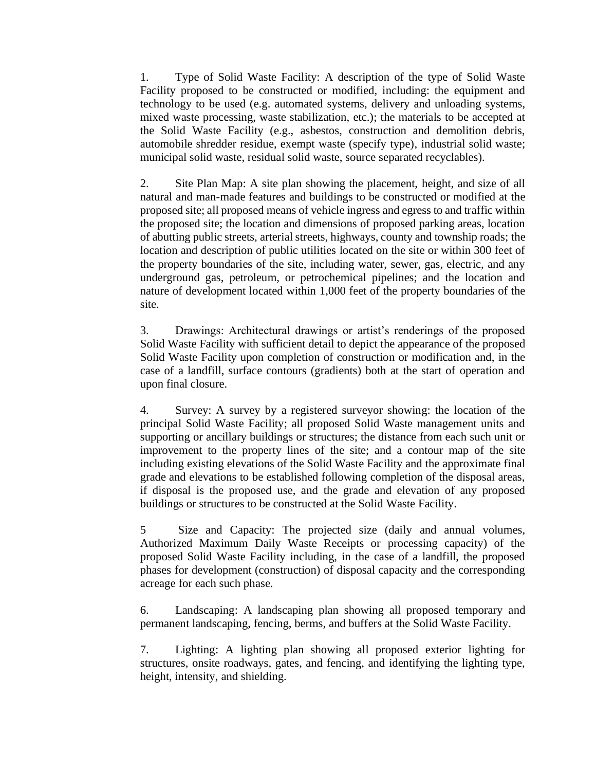1. Type of Solid Waste Facility: A description of the type of Solid Waste Facility proposed to be constructed or modified, including: the equipment and technology to be used (e.g. automated systems, delivery and unloading systems, mixed waste processing, waste stabilization, etc.); the materials to be accepted at the Solid Waste Facility (e.g., asbestos, construction and demolition debris, automobile shredder residue, exempt waste (specify type), industrial solid waste; municipal solid waste, residual solid waste, source separated recyclables).

2. Site Plan Map: A site plan showing the placement, height, and size of all natural and man-made features and buildings to be constructed or modified at the proposed site; all proposed means of vehicle ingress and egress to and traffic within the proposed site; the location and dimensions of proposed parking areas, location of abutting public streets, arterial streets, highways, county and township roads; the location and description of public utilities located on the site or within 300 feet of the property boundaries of the site, including water, sewer, gas, electric, and any underground gas, petroleum, or petrochemical pipelines; and the location and nature of development located within 1,000 feet of the property boundaries of the site.

3. Drawings: Architectural drawings or artist's renderings of the proposed Solid Waste Facility with sufficient detail to depict the appearance of the proposed Solid Waste Facility upon completion of construction or modification and, in the case of a landfill, surface contours (gradients) both at the start of operation and upon final closure.

4. Survey: A survey by a registered surveyor showing: the location of the principal Solid Waste Facility; all proposed Solid Waste management units and supporting or ancillary buildings or structures; the distance from each such unit or improvement to the property lines of the site; and a contour map of the site including existing elevations of the Solid Waste Facility and the approximate final grade and elevations to be established following completion of the disposal areas, if disposal is the proposed use, and the grade and elevation of any proposed buildings or structures to be constructed at the Solid Waste Facility.

5 Size and Capacity: The projected size (daily and annual volumes, Authorized Maximum Daily Waste Receipts or processing capacity) of the proposed Solid Waste Facility including, in the case of a landfill, the proposed phases for development (construction) of disposal capacity and the corresponding acreage for each such phase.

6. Landscaping: A landscaping plan showing all proposed temporary and permanent landscaping, fencing, berms, and buffers at the Solid Waste Facility.

7. Lighting: A lighting plan showing all proposed exterior lighting for structures, onsite roadways, gates, and fencing, and identifying the lighting type, height, intensity, and shielding.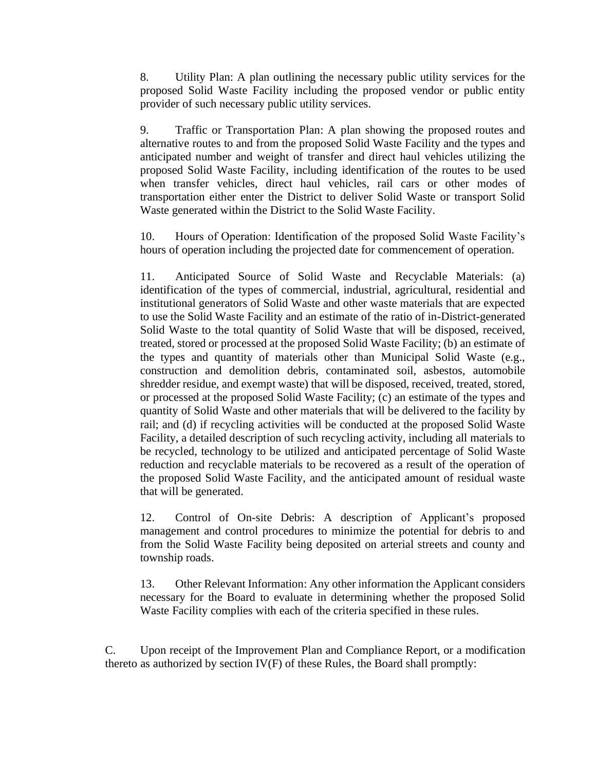8. Utility Plan: A plan outlining the necessary public utility services for the proposed Solid Waste Facility including the proposed vendor or public entity provider of such necessary public utility services.

9. Traffic or Transportation Plan: A plan showing the proposed routes and alternative routes to and from the proposed Solid Waste Facility and the types and anticipated number and weight of transfer and direct haul vehicles utilizing the proposed Solid Waste Facility, including identification of the routes to be used when transfer vehicles, direct haul vehicles, rail cars or other modes of transportation either enter the District to deliver Solid Waste or transport Solid Waste generated within the District to the Solid Waste Facility.

10. Hours of Operation: Identification of the proposed Solid Waste Facility's hours of operation including the projected date for commencement of operation.

11. Anticipated Source of Solid Waste and Recyclable Materials: (a) identification of the types of commercial, industrial, agricultural, residential and institutional generators of Solid Waste and other waste materials that are expected to use the Solid Waste Facility and an estimate of the ratio of in-District-generated Solid Waste to the total quantity of Solid Waste that will be disposed, received, treated, stored or processed at the proposed Solid Waste Facility; (b) an estimate of the types and quantity of materials other than Municipal Solid Waste (e.g., construction and demolition debris, contaminated soil, asbestos, automobile shredder residue, and exempt waste) that will be disposed, received, treated, stored, or processed at the proposed Solid Waste Facility; (c) an estimate of the types and quantity of Solid Waste and other materials that will be delivered to the facility by rail; and (d) if recycling activities will be conducted at the proposed Solid Waste Facility, a detailed description of such recycling activity, including all materials to be recycled, technology to be utilized and anticipated percentage of Solid Waste reduction and recyclable materials to be recovered as a result of the operation of the proposed Solid Waste Facility, and the anticipated amount of residual waste that will be generated.

12. Control of On-site Debris: A description of Applicant's proposed management and control procedures to minimize the potential for debris to and from the Solid Waste Facility being deposited on arterial streets and county and township roads.

13. Other Relevant Information: Any other information the Applicant considers necessary for the Board to evaluate in determining whether the proposed Solid Waste Facility complies with each of the criteria specified in these rules.

C. Upon receipt of the Improvement Plan and Compliance Report, or a modification thereto as authorized by section IV(F) of these Rules, the Board shall promptly: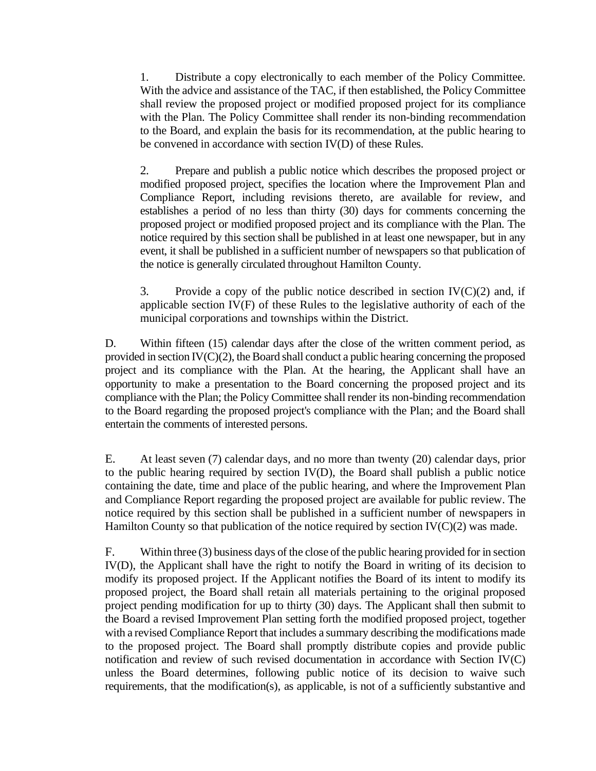1. Distribute a copy electronically to each member of the Policy Committee. With the advice and assistance of the TAC, if then established, the Policy Committee shall review the proposed project or modified proposed project for its compliance with the Plan. The Policy Committee shall render its non-binding recommendation to the Board, and explain the basis for its recommendation, at the public hearing to be convened in accordance with section IV(D) of these Rules.

2. Prepare and publish a public notice which describes the proposed project or modified proposed project, specifies the location where the Improvement Plan and Compliance Report, including revisions thereto, are available for review, and establishes a period of no less than thirty (30) days for comments concerning the proposed project or modified proposed project and its compliance with the Plan. The notice required by this section shall be published in at least one newspaper, but in any event, it shall be published in a sufficient number of newspapers so that publication of the notice is generally circulated throughout Hamilton County.

3. Provide a copy of the public notice described in section  $IV(C)(2)$  and, if applicable section IV(F) of these Rules to the legislative authority of each of the municipal corporations and townships within the District.

D. Within fifteen (15) calendar days after the close of the written comment period, as provided in section IV(C)(2), the Board shall conduct a public hearing concerning the proposed project and its compliance with the Plan. At the hearing, the Applicant shall have an opportunity to make a presentation to the Board concerning the proposed project and its compliance with the Plan; the Policy Committee shall render its non-binding recommendation to the Board regarding the proposed project's compliance with the Plan; and the Board shall entertain the comments of interested persons.

E. At least seven (7) calendar days, and no more than twenty (20) calendar days, prior to the public hearing required by section IV(D), the Board shall publish a public notice containing the date, time and place of the public hearing, and where the Improvement Plan and Compliance Report regarding the proposed project are available for public review. The notice required by this section shall be published in a sufficient number of newspapers in Hamilton County so that publication of the notice required by section  $IV(C)(2)$  was made.

F. Within three (3) business days of the close of the public hearing provided for in section IV(D), the Applicant shall have the right to notify the Board in writing of its decision to modify its proposed project. If the Applicant notifies the Board of its intent to modify its proposed project, the Board shall retain all materials pertaining to the original proposed project pending modification for up to thirty (30) days. The Applicant shall then submit to the Board a revised Improvement Plan setting forth the modified proposed project, together with a revised Compliance Report that includes a summary describing the modifications made to the proposed project. The Board shall promptly distribute copies and provide public notification and review of such revised documentation in accordance with Section IV(C) unless the Board determines, following public notice of its decision to waive such requirements, that the modification(s), as applicable, is not of a sufficiently substantive and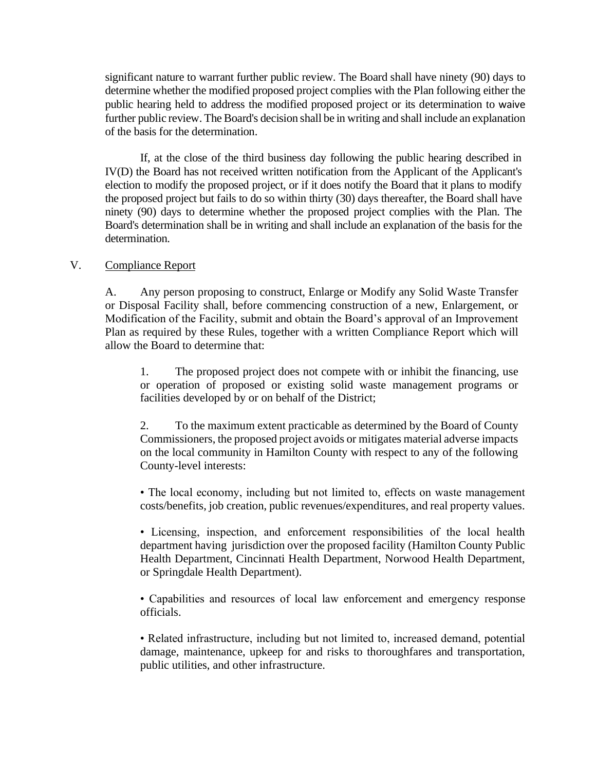significant nature to warrant further public review. The Board shall have ninety (90) days to determine whether the modified proposed project complies with the Plan following either the public hearing held to address the modified proposed project or its determination to waive further public review. The Board's decision shall be in writing and shall include an explanation of the basis for the determination.

If, at the close of the third business day following the public hearing described in IV(D) the Board has not received written notification from the Applicant of the Applicant's election to modify the proposed project, or if it does notify the Board that it plans to modify the proposed project but fails to do so within thirty (30) days thereafter, the Board shall have ninety (90) days to determine whether the proposed project complies with the Plan. The Board's determination shall be in writing and shall include an explanation of the basis for the determination.

### V. Compliance Report

A. Any person proposing to construct, Enlarge or Modify any Solid Waste Transfer or Disposal Facility shall, before commencing construction of a new, Enlargement, or Modification of the Facility, submit and obtain the Board's approval of an Improvement Plan as required by these Rules, together with a written Compliance Report which will allow the Board to determine that:

1. The proposed project does not compete with or inhibit the financing, use or operation of proposed or existing solid waste management programs or facilities developed by or on behalf of the District;

2. To the maximum extent practicable as determined by the Board of County Commissioners, the proposed project avoids or mitigates material adverse impacts on the local community in Hamilton County with respect to any of the following County-level interests:

• The local economy, including but not limited to, effects on waste management costs/benefits, job creation, public revenues/expenditures, and real property values.

• Licensing, inspection, and enforcement responsibilities of the local health department having jurisdiction over the proposed facility (Hamilton County Public Health Department, Cincinnati Health Department, Norwood Health Department, or Springdale Health Department).

• Capabilities and resources of local law enforcement and emergency response officials.

• Related infrastructure, including but not limited to, increased demand, potential damage, maintenance, upkeep for and risks to thoroughfares and transportation, public utilities, and other infrastructure.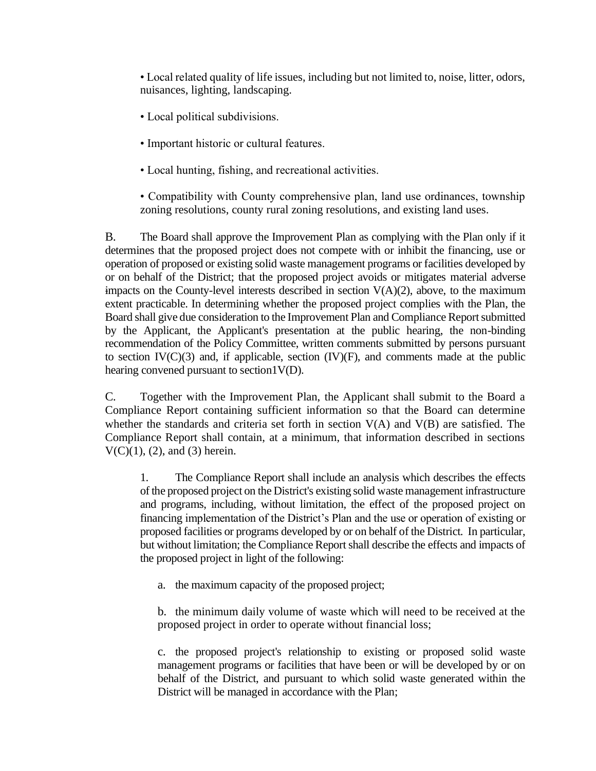• Local related quality of life issues, including but not limited to, noise, litter, odors, nuisances, lighting, landscaping.

- Local political subdivisions.
- Important historic or cultural features.
- Local hunting, fishing, and recreational activities.

• Compatibility with County comprehensive plan, land use ordinances, township zoning resolutions, county rural zoning resolutions, and existing land uses.

B. The Board shall approve the Improvement Plan as complying with the Plan only if it determines that the proposed project does not compete with or inhibit the financing, use or operation of proposed or existing solid waste management programs or facilities developed by or on behalf of the District; that the proposed project avoids or mitigates material adverse impacts on the County-level interests described in section  $V(A)(2)$ , above, to the maximum extent practicable. In determining whether the proposed project complies with the Plan, the Board shall give due consideration to the Improvement Plan and Compliance Report submitted by the Applicant, the Applicant's presentation at the public hearing, the non-binding recommendation of the Policy Committee, written comments submitted by persons pursuant to section  $IV(C)(3)$  and, if applicable, section  $(IV)(F)$ , and comments made at the public hearing convened pursuant to section1V(D).

C. Together with the Improvement Plan, the Applicant shall submit to the Board a Compliance Report containing sufficient information so that the Board can determine whether the standards and criteria set forth in section  $V(A)$  and  $V(B)$  are satisfied. The Compliance Report shall contain, at a minimum, that information described in sections  $V(C)(1)$ , (2), and (3) herein.

1. The Compliance Report shall include an analysis which describes the effects of the proposed project on the District's existing solid waste management infrastructure and programs, including, without limitation, the effect of the proposed project on financing implementation of the District's Plan and the use or operation of existing or proposed facilities or programs developed by or on behalf of the District. In particular, but without limitation; the Compliance Report shall describe the effects and impacts of the proposed project in light of the following:

a. the maximum capacity of the proposed project;

b. the minimum daily volume of waste which will need to be received at the proposed project in order to operate without financial loss;

c. the proposed project's relationship to existing or proposed solid waste management programs or facilities that have been or will be developed by or on behalf of the District, and pursuant to which solid waste generated within the District will be managed in accordance with the Plan;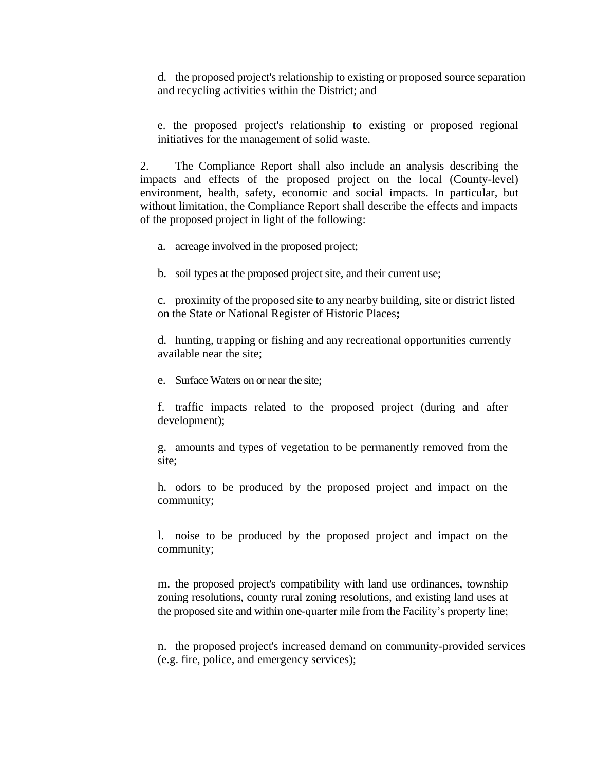d. the proposed project's relationship to existing or proposed source separation and recycling activities within the District; and

e. the proposed project's relationship to existing or proposed regional initiatives for the management of solid waste.

2. The Compliance Report shall also include an analysis describing the impacts and effects of the proposed project on the local (County-level) environment, health, safety, economic and social impacts. In particular, but without limitation, the Compliance Report shall describe the effects and impacts of the proposed project in light of the following:

- a. acreage involved in the proposed project;
- b. soil types at the proposed project site, and their current use;

c. proximity of the proposed site to any nearby building, site or district listed on the State or National Register of Historic Places**;**

d. hunting, trapping or fishing and any recreational opportunities currently available near the site;

e. Surface Waters on or near the site;

f. traffic impacts related to the proposed project (during and after development);

g. amounts and types of vegetation to be permanently removed from the site;

h. odors to be produced by the proposed project and impact on the community;

l. noise to be produced by the proposed project and impact on the community;

m. the proposed project's compatibility with land use ordinances, township zoning resolutions, county rural zoning resolutions, and existing land uses at the proposed site and within one-quarter mile from the Facility's property line;

n. the proposed project's increased demand on community-provided services (e.g. fire, police, and emergency services);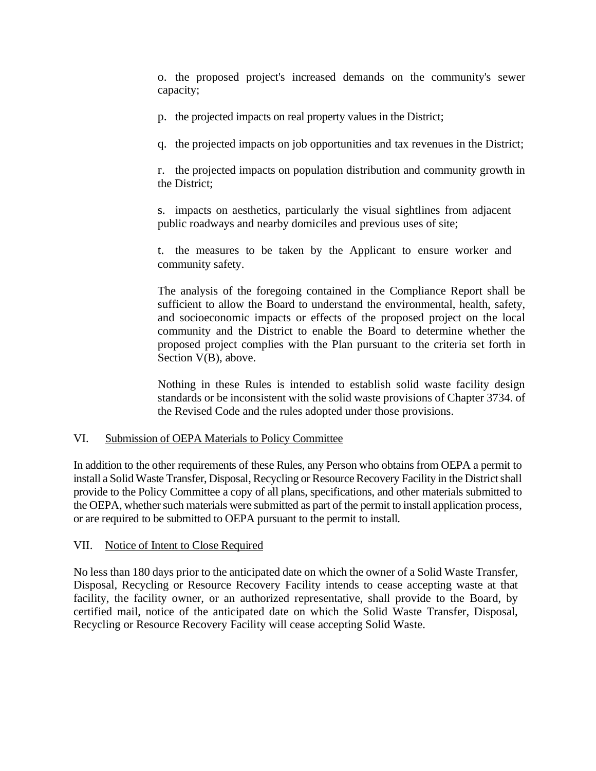o. the proposed project's increased demands on the community's sewer capacity;

p. the projected impacts on real property values in the District;

q. the projected impacts on job opportunities and tax revenues in the District;

r. the projected impacts on population distribution and community growth in the District;

s. impacts on aesthetics, particularly the visual sightlines from adjacent public roadways and nearby domiciles and previous uses of site;

t. the measures to be taken by the Applicant to ensure worker and community safety.

The analysis of the foregoing contained in the Compliance Report shall be sufficient to allow the Board to understand the environmental, health, safety, and socioeconomic impacts or effects of the proposed project on the local community and the District to enable the Board to determine whether the proposed project complies with the Plan pursuant to the criteria set forth in Section V(B), above.

Nothing in these Rules is intended to establish solid waste facility design standards or be inconsistent with the solid waste provisions of Chapter 3734. of the Revised Code and the rules adopted under those provisions.

### VI. Submission of OEPA Materials to Policy Committee

In addition to the other requirements of these Rules, any Person who obtains from OEPA a permit to install a Solid Waste Transfer, Disposal, Recycling or Resource Recovery Facility in the District shall provide to the Policy Committee a copy of all plans, specifications, and other materials submitted to the OEPA, whether such materials were submitted as part of the permit to install application process, or are required to be submitted to OEPA pursuant to the permit to install.

### VII. Notice of Intent to Close Required

No less than 180 days prior to the anticipated date on which the owner of a Solid Waste Transfer, Disposal, Recycling or Resource Recovery Facility intends to cease accepting waste at that facility, the facility owner, or an authorized representative, shall provide to the Board, by certified mail, notice of the anticipated date on which the Solid Waste Transfer, Disposal, Recycling or Resource Recovery Facility will cease accepting Solid Waste.